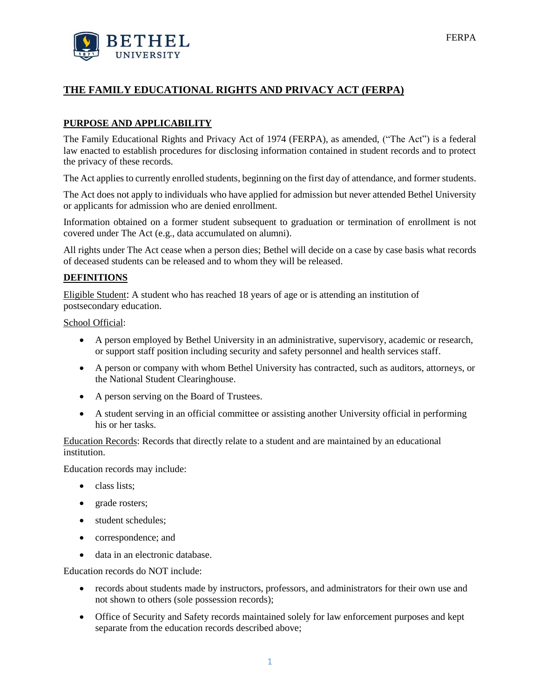# **THE FAMILY EDUCATIONAL RIGHTS AND PRIVACY ACT (FERPA)**

# **PURPOSE AND APPLICABILITY**

The Family Educational Rights and Privacy Act of 1974 (FERPA), as amended, ("The Act") is a federal law enacted to establish procedures for disclosing information contained in student records and to protect the privacy of these records.

The Act applies to currently enrolled students, beginning on the first day of attendance, and former students.

The Act does not apply to individuals who have applied for admission but never attended Bethel University or applicants for admission who are denied enrollment.

Information obtained on a former student subsequent to graduation or termination of enrollment is not covered under The Act (e.g., data accumulated on alumni).

All rights under The Act cease when a person dies; Bethel will decide on a case by case basis what records of deceased students can be released and to whom they will be released.

### **DEFINITIONS**

Eligible Student: A student who has reached 18 years of age or is attending an institution of postsecondary education.

School Official:

- A person employed by Bethel University in an administrative, supervisory, academic or research, or support staff position including security and safety personnel and health services staff.
- A person or company with whom Bethel University has contracted, such as auditors, attorneys, or the National Student Clearinghouse.
- A person serving on the Board of Trustees.
- A student serving in an official committee or assisting another University official in performing his or her tasks.

Education Records: Records that directly relate to a student and are maintained by an educational institution.

Education records may include:

- class lists;
- grade rosters;
- student schedules:
- correspondence; and
- data in an electronic database.

Education records do NOT include:

- records about students made by instructors, professors, and administrators for their own use and not shown to others (sole possession records);
- Office of Security and Safety records maintained solely for law enforcement purposes and kept separate from the education records described above;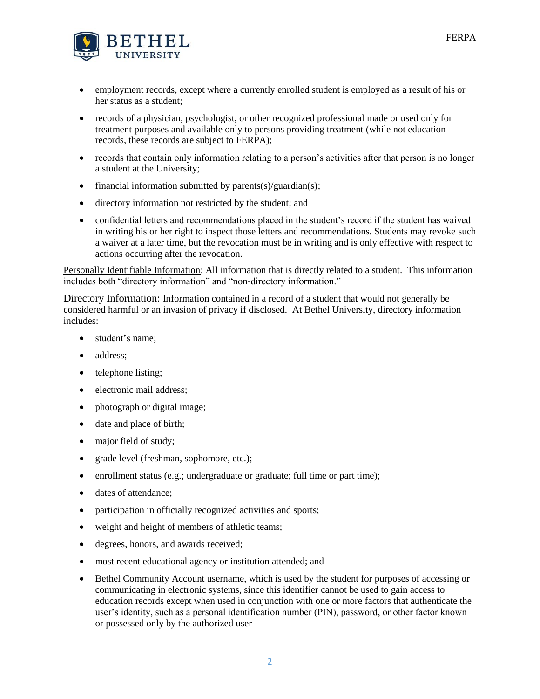

- employment records, except where a currently enrolled student is employed as a result of his or her status as a student;
- records of a physician, psychologist, or other recognized professional made or used only for treatment purposes and available only to persons providing treatment (while not education records, these records are subject to FERPA);
- records that contain only information relating to a person's activities after that person is no longer a student at the University;
- financial information submitted by parents $(s)/$ guardian $(s)$ ;
- directory information not restricted by the student; and
- confidential letters and recommendations placed in the student's record if the student has waived in writing his or her right to inspect those letters and recommendations. Students may revoke such a waiver at a later time, but the revocation must be in writing and is only effective with respect to actions occurring after the revocation.

Personally Identifiable Information: All information that is directly related to a student. This information includes both "directory information" and "non-directory information."

Directory Information: Information contained in a record of a student that would not generally be considered harmful or an invasion of privacy if disclosed. At Bethel University, directory information includes:

- student's name:
- address:
- telephone listing;
- electronic mail address;
- photograph or digital image;
- date and place of birth;
- major field of study;
- grade level (freshman, sophomore, etc.);
- enrollment status (e.g.; undergraduate or graduate; full time or part time);
- dates of attendance:
- participation in officially recognized activities and sports;
- weight and height of members of athletic teams;
- degrees, honors, and awards received;
- most recent educational agency or institution attended; and
- Bethel Community Account username, which is used by the student for purposes of accessing or communicating in electronic systems, since this identifier cannot be used to gain access to education records except when used in conjunction with one or more factors that authenticate the user's identity, such as a personal identification number (PIN), password, or other factor known or possessed only by the authorized user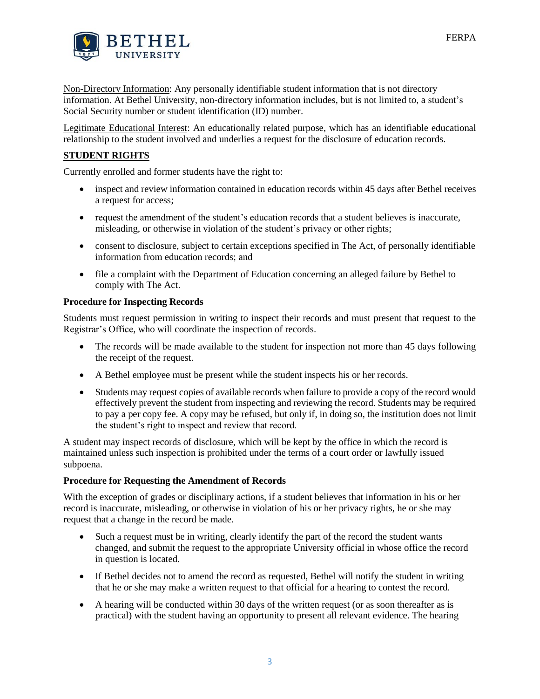

Non-Directory Information: Any personally identifiable student information that is not directory information. At Bethel University, non-directory information includes, but is not limited to, a student's Social Security number or student identification (ID) number.

Legitimate Educational Interest: An educationally related purpose, which has an identifiable educational relationship to the student involved and underlies a request for the disclosure of education records.

### **STUDENT RIGHTS**

Currently enrolled and former students have the right to:

- inspect and review information contained in education records within 45 days after Bethel receives a request for access;
- request the amendment of the student's education records that a student believes is inaccurate, misleading, or otherwise in violation of the student's privacy or other rights;
- consent to disclosure, subject to certain exceptions specified in The Act, of personally identifiable information from education records; and
- file a complaint with the Department of Education concerning an alleged failure by Bethel to comply with The Act.

### **Procedure for Inspecting Records**

Students must request permission in writing to inspect their records and must present that request to the Registrar's Office, who will coordinate the inspection of records.

- The records will be made available to the student for inspection not more than 45 days following the receipt of the request.
- A Bethel employee must be present while the student inspects his or her records.
- Students may request copies of available records when failure to provide a copy of the record would effectively prevent the student from inspecting and reviewing the record. Students may be required to pay a per copy fee. A copy may be refused, but only if, in doing so, the institution does not limit the student's right to inspect and review that record.

A student may inspect records of disclosure, which will be kept by the office in which the record is maintained unless such inspection is prohibited under the terms of a court order or lawfully issued subpoena.

### **Procedure for Requesting the Amendment of Records**

With the exception of grades or disciplinary actions, if a student believes that information in his or her record is inaccurate, misleading, or otherwise in violation of his or her privacy rights, he or she may request that a change in the record be made.

- Such a request must be in writing, clearly identify the part of the record the student wants changed, and submit the request to the appropriate University official in whose office the record in question is located.
- If Bethel decides not to amend the record as requested, Bethel will notify the student in writing that he or she may make a written request to that official for a hearing to contest the record.
- A hearing will be conducted within 30 days of the written request (or as soon thereafter as is practical) with the student having an opportunity to present all relevant evidence. The hearing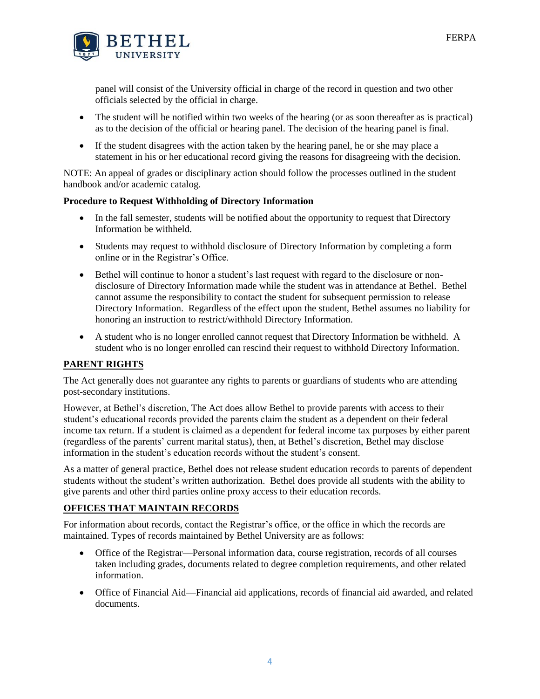

panel will consist of the University official in charge of the record in question and two other officials selected by the official in charge.

- The student will be notified within two weeks of the hearing (or as soon thereafter as is practical) as to the decision of the official or hearing panel. The decision of the hearing panel is final.
- If the student disagrees with the action taken by the hearing panel, he or she may place a statement in his or her educational record giving the reasons for disagreeing with the decision.

NOTE: An appeal of grades or disciplinary action should follow the processes outlined in the student handbook and/or academic catalog.

### **Procedure to Request Withholding of Directory Information**

- In the fall semester, students will be notified about the opportunity to request that Directory Information be withheld.
- Students may request to withhold disclosure of Directory Information by completing a form online or in the Registrar's Office.
- Bethel will continue to honor a student's last request with regard to the disclosure or nondisclosure of Directory Information made while the student was in attendance at Bethel. Bethel cannot assume the responsibility to contact the student for subsequent permission to release Directory Information. Regardless of the effect upon the student, Bethel assumes no liability for honoring an instruction to restrict/withhold Directory Information.
- A student who is no longer enrolled cannot request that Directory Information be withheld. A student who is no longer enrolled can rescind their request to withhold Directory Information.

# **PARENT RIGHTS**

The Act generally does not guarantee any rights to parents or guardians of students who are attending post-secondary institutions.

However, at Bethel's discretion, The Act does allow Bethel to provide parents with access to their student's educational records provided the parents claim the student as a dependent on their federal income tax return. If a student is claimed as a dependent for federal income tax purposes by either parent (regardless of the parents' current marital status), then, at Bethel's discretion, Bethel may disclose information in the student's education records without the student's consent.

As a matter of general practice, Bethel does not release student education records to parents of dependent students without the student's written authorization. Bethel does provide all students with the ability to give parents and other third parties online proxy access to their education records.

### **OFFICES THAT MAINTAIN RECORDS**

For information about records, contact the Registrar's office, or the office in which the records are maintained. Types of records maintained by Bethel University are as follows:

- Office of the Registrar—Personal information data, course registration, records of all courses taken including grades, documents related to degree completion requirements, and other related information.
- Office of Financial Aid—Financial aid applications, records of financial aid awarded, and related documents.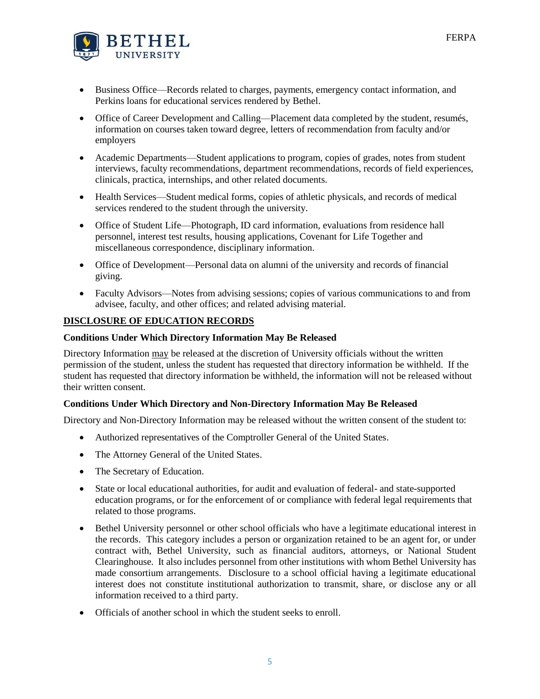

- Business Office—Records related to charges, payments, emergency contact information, and Perkins loans for educational services rendered by Bethel.
- Office of Career Development and Calling—Placement data completed by the student, resumés, information on courses taken toward degree, letters of recommendation from faculty and/or employers
- Academic Departments—Student applications to program, copies of grades, notes from student interviews, faculty recommendations, department recommendations, records of field experiences, clinicals, practica, internships, and other related documents.
- Health Services—Student medical forms, copies of athletic physicals, and records of medical services rendered to the student through the university.
- Office of Student Life—Photograph, ID card information, evaluations from residence hall personnel, interest test results, housing applications, Covenant for Life Together and miscellaneous correspondence, disciplinary information.
- Office of Development—Personal data on alumni of the university and records of financial giving.
- Faculty Advisors—Notes from advising sessions; copies of various communications to and from advisee, faculty, and other offices; and related advising material.

# **DISCLOSURE OF EDUCATION RECORDS**

### **Conditions Under Which Directory Information May Be Released**

Directory Information may be released at the discretion of University officials without the written permission of the student, unless the student has requested that directory information be withheld. If the student has requested that directory information be withheld, the information will not be released without their written consent.

### **Conditions Under Which Directory and Non-Directory Information May Be Released**

Directory and Non-Directory Information may be released without the written consent of the student to:

- Authorized representatives of the Comptroller General of the United States.
- The Attorney General of the United States.
- The Secretary of Education.
- State or local educational authorities, for audit and evaluation of federal- and state-supported education programs, or for the enforcement of or compliance with federal legal requirements that related to those programs.
- Bethel University personnel or other school officials who have a legitimate educational interest in the records. This category includes a person or organization retained to be an agent for, or under contract with, Bethel University, such as financial auditors, attorneys, or National Student Clearinghouse. It also includes personnel from other institutions with whom Bethel University has made consortium arrangements. Disclosure to a school official having a legitimate educational interest does not constitute institutional authorization to transmit, share, or disclose any or all information received to a third party.
- Officials of another school in which the student seeks to enroll.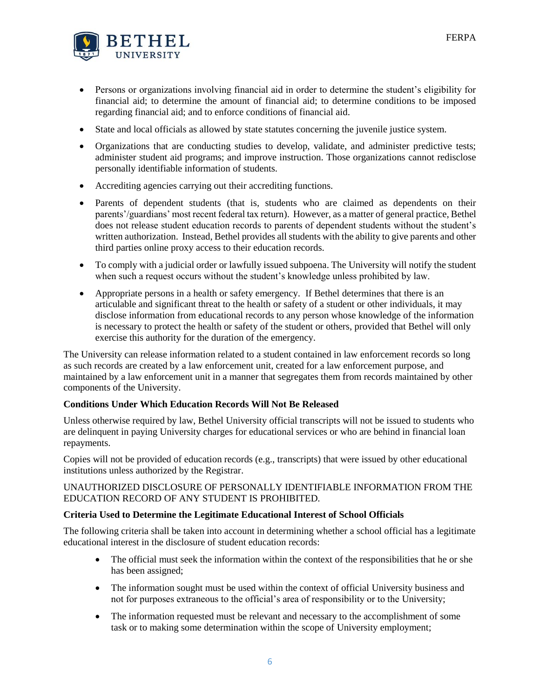

- Persons or organizations involving financial aid in order to determine the student's eligibility for financial aid; to determine the amount of financial aid; to determine conditions to be imposed regarding financial aid; and to enforce conditions of financial aid.
- State and local officials as allowed by state statutes concerning the juvenile justice system.
- Organizations that are conducting studies to develop, validate, and administer predictive tests; administer student aid programs; and improve instruction. Those organizations cannot redisclose personally identifiable information of students.
- Accrediting agencies carrying out their accrediting functions.
- Parents of dependent students (that is, students who are claimed as dependents on their parents'/guardians' most recent federal tax return). However, as a matter of general practice, Bethel does not release student education records to parents of dependent students without the student's written authorization. Instead, Bethel provides all students with the ability to give parents and other third parties online proxy access to their education records.
- To comply with a judicial order or lawfully issued subpoena. The University will notify the student when such a request occurs without the student's knowledge unless prohibited by law.
- Appropriate persons in a health or safety emergency. If Bethel determines that there is an articulable and significant threat to the health or safety of a student or other individuals, it may disclose information from educational records to any person whose knowledge of the information is necessary to protect the health or safety of the student or others, provided that Bethel will only exercise this authority for the duration of the emergency.

The University can release information related to a student contained in law enforcement records so long as such records are created by a law enforcement unit, created for a law enforcement purpose, and maintained by a law enforcement unit in a manner that segregates them from records maintained by other components of the University.

### **Conditions Under Which Education Records Will Not Be Released**

Unless otherwise required by law, Bethel University official transcripts will not be issued to students who are delinquent in paying University charges for educational services or who are behind in financial loan repayments.

Copies will not be provided of education records (e.g., transcripts) that were issued by other educational institutions unless authorized by the Registrar.

### UNAUTHORIZED DISCLOSURE OF PERSONALLY IDENTIFIABLE INFORMATION FROM THE EDUCATION RECORD OF ANY STUDENT IS PROHIBITED.

### **Criteria Used to Determine the Legitimate Educational Interest of School Officials**

The following criteria shall be taken into account in determining whether a school official has a legitimate educational interest in the disclosure of student education records:

- The official must seek the information within the context of the responsibilities that he or she has been assigned;
- The information sought must be used within the context of official University business and not for purposes extraneous to the official's area of responsibility or to the University;
- The information requested must be relevant and necessary to the accomplishment of some task or to making some determination within the scope of University employment;